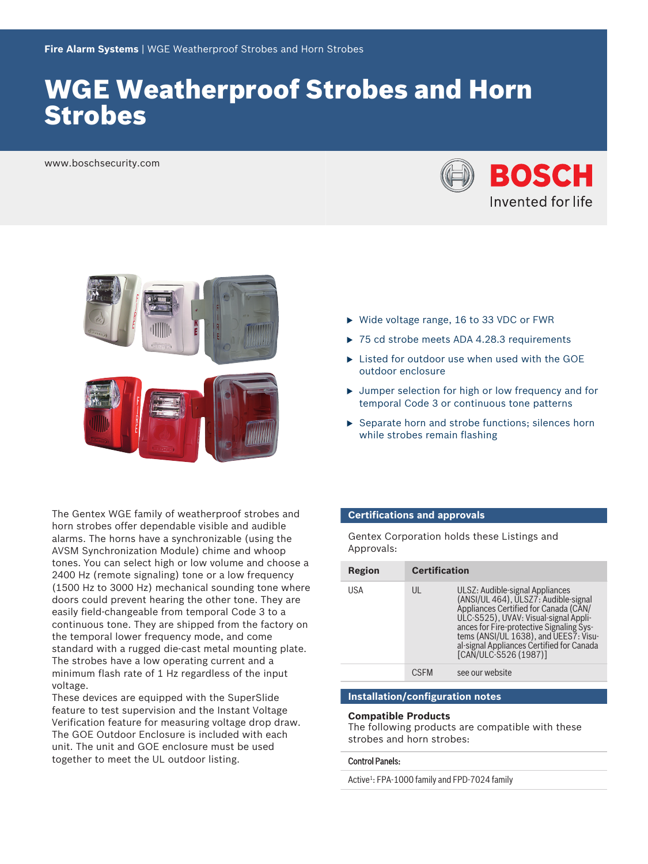# WGE Weatherproof Strobes and Horn Strobes

www.boschsecurity.com





The Gentex WGE family of weatherproof strobes and horn strobes offer dependable visible and audible alarms. The horns have a synchronizable (using the AVSM Synchronization Module) chime and whoop tones. You can select high or low volume and choose a 2400 Hz (remote signaling) tone or a low frequency (1500 Hz to 3000 Hz) mechanical sounding tone where doors could prevent hearing the other tone. They are easily field‑changeable from temporal Code 3 to a continuous tone. They are shipped from the factory on the temporal lower frequency mode, and come standard with a rugged die‑cast metal mounting plate. The strobes have a low operating current and a minimum flash rate of 1 Hz regardless of the input voltage.

These devices are equipped with the SuperSlide feature to test supervision and the Instant Voltage Verification feature for measuring voltage drop draw. The GOE Outdoor Enclosure is included with each unit. The unit and GOE enclosure must be used together to meet the UL outdoor listing.

- $\triangleright$  Wide voltage range, 16 to 33 VDC or FWR
- $\triangleright$  75 cd strobe meets ADA 4.28.3 requirements
- $\blacktriangleright$  Listed for outdoor use when used with the GOE outdoor enclosure
- $\rightarrow$  Jumper selection for high or low frequency and for temporal Code 3 or continuous tone patterns
- $\blacktriangleright$  Separate horn and strobe functions; silences horn while strobes remain flashing

#### **Certifications and approvals**

Gentex Corporation holds these Listings and Approvals:

| Region | <b>Certification</b> |                                                                                                                                                                                                                                                                                                                      |
|--------|----------------------|----------------------------------------------------------------------------------------------------------------------------------------------------------------------------------------------------------------------------------------------------------------------------------------------------------------------|
| USA    | UL                   | ULSZ: Audible-signal Appliances<br>(ANSI/UL 464), ULSZ7: Audible-signal<br>Appliances Certified for Canada (CAN/<br>ULC-S525), UVAV: Visual-signal Appli-<br>ances for Fire-protective Signaling Sys-<br>tems (ANSI/UL 1638), and UEES7: Visu-<br>al-signal Appliances Certified for Canada<br>[CAN/ULC-S526 (1987)] |
|        |                      | see our website                                                                                                                                                                                                                                                                                                      |

#### **Installation/configuration notes**

#### **Compatible Products**

The following products are compatible with these strobes and horn strobes:

#### Control Panels:

Active<sup>1</sup>: FPA-1000 family and FPD-7024 family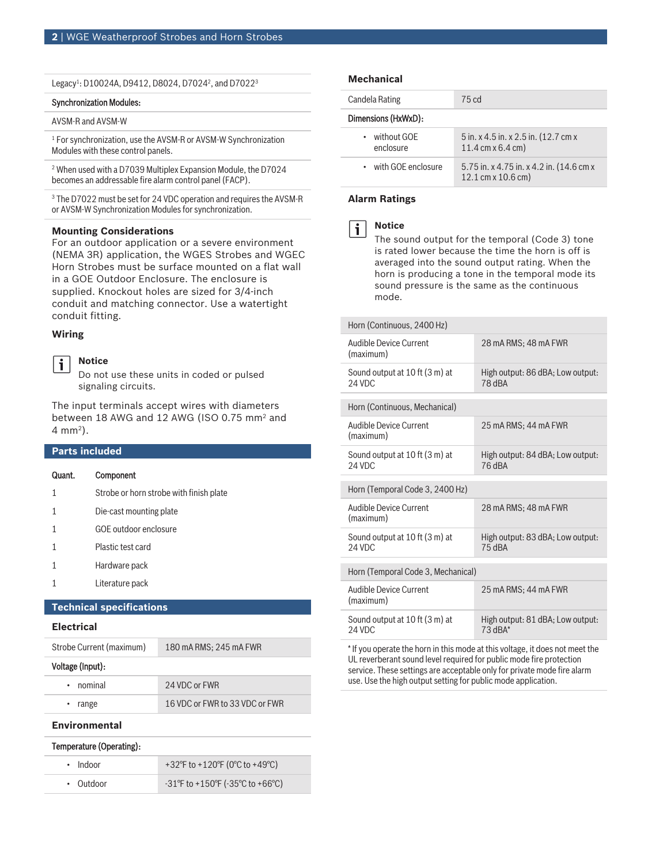| Legacy <sup>1</sup> : D10024A, D9412, D8024, D7024 <sup>2</sup> , and D7022 <sup>3</sup> |  |  |  |  |  |
|------------------------------------------------------------------------------------------|--|--|--|--|--|
|------------------------------------------------------------------------------------------|--|--|--|--|--|

#### Synchronization Modules:

#### AVSM‑R and AVSM‑W

1 For synchronization, use the AVSM‑R or AVSM‑W Synchronization Modules with these control panels.

2 When used with a D7039 Multiplex Expansion Module, the D7024 becomes an addressable fire alarm control panel (FACP).

 $^{\rm 3}$  The D7022 must be set for 24 VDC operation and requires the AVSM-R or AVSM‑W Synchronization Modules for synchronization.

#### **Mounting Considerations**

For an outdoor application or a severe environment (NEMA 3R) application, the WGES Strobes and WGEC Horn Strobes must be surface mounted on a flat wall in a GOE Outdoor Enclosure. The enclosure is supplied. Knockout holes are sized for 3/4‑inch conduit and matching connector. Use a watertight conduit fitting.

#### **Wiring**

#### **Notice**  $\mathbf i$

Do not use these units in coded or pulsed signaling circuits.

The input terminals accept wires with diameters between 18 AWG and 12 AWG (ISO 0.75 mm<sup>2</sup> and 4 mm<sup>2</sup> ).

#### **Parts included**

# Quant. Component 1 Strobe or horn strobe with finish plate

- 
- 1 Die‑cast mounting plate
- 1 GOE outdoor enclosure
- 1 Plastic test card
- 1 Hardware pack
- 1 Literature pack

#### **Technical specifications**

#### **Electrical**

Strobe Current (maximum) 180 mA RMS; 245 mA FWR

#### Voltage (Input):

| • nominal | 24 VDC or FWR                  |
|-----------|--------------------------------|
| • range   | 16 VDC or FWR to 33 VDC or FWR |

#### **Environmental**

### Temperature (Operating):

| $\cdot$ Indoor | +32°F to +120°F (0°C to +49°C)                                              |
|----------------|-----------------------------------------------------------------------------|
| • Outdoor      | $-31^{\circ}$ F to +150 $^{\circ}$ F (-35 $^{\circ}$ C to +66 $^{\circ}$ C) |

#### **Mechanical**

| Candela Rating                        | 75 cd                                                                           |
|---------------------------------------|---------------------------------------------------------------------------------|
| Dimensions (HxWxD):                   |                                                                                 |
| without GOF<br>$\bullet$<br>enclosure | 5 in. x 4.5 in. x 2.5 in. (12.7 cm x<br>$11.4 \text{ cm} \times 6.4 \text{ cm}$ |
| • with GOF enclosure                  | 5.75 in. x 4.75 in. x 4.2 in. (14.6 cm x<br>12.1 cm x 10.6 cm)                  |

#### **Alarm Ratings**



#### **Notice**

The sound output for the temporal (Code 3) tone is rated lower because the time the horn is off is averaged into the sound output rating. When the horn is producing a tone in the temporal mode its sound pressure is the same as the continuous mode.

| Horn (Continuous, 2400 Hz)                 |                                               |
|--------------------------------------------|-----------------------------------------------|
| Audible Device Current<br>(maximum)        | 28 mA RMS: 48 mA FWR                          |
| Sound output at 10 ft (3 m) at<br>24 VDC   | High output: 86 dBA; Low output:<br>78 dBA    |
| Horn (Continuous, Mechanical)              |                                               |
| <b>Audible Device Current</b><br>(maximum) | 25 mA RMS; 44 mA FWR                          |
| Sound output at 10 ft (3 m) at<br>24 VDC   | High output: 84 dBA; Low output:<br>76 dBA    |
| Horn (Temporal Code 3, 2400 Hz)            |                                               |
| Audible Device Current<br>(maximum)        | 28 mA RMS; 48 mA FWR                          |
| Sound output at 10 ft (3 m) at<br>24 VDC   | High output: 83 dBA; Low output:<br>75 dBA    |
| Horn (Temporal Code 3, Mechanical)         |                                               |
| <b>Audible Device Current</b><br>(maximum) | 25 mA RMS; 44 mA FWR                          |
| Sound output at 10 ft (3 m) at<br>24 VDC   | High output: 81 dBA; Low output:<br>$73$ dBA* |
|                                            |                                               |

\* If you operate the horn in this mode at this voltage, it does not meet the UL reverberant sound level required for public mode fire protection service. These settings are acceptable only for private mode fire alarm use. Use the high output setting for public mode application.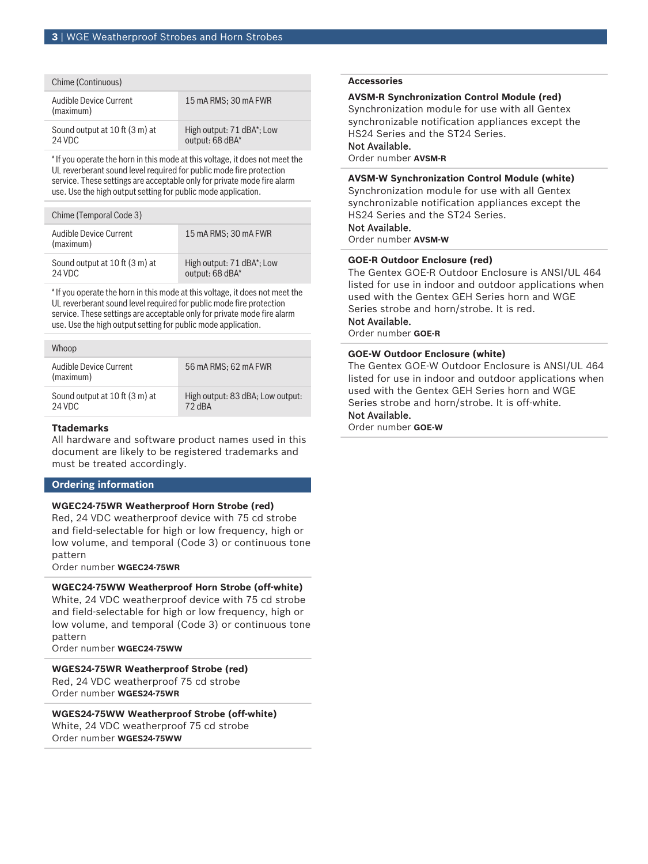| Chime (Continuous)                       |                                                           |
|------------------------------------------|-----------------------------------------------------------|
| Audible Device Current<br>(maximum)      | 15 mA RMS: 30 mA FWR                                      |
| Sound output at 10 ft (3 m) at<br>24 VDC | High output: 71 dBA <sup>*</sup> ; Low<br>output: 68 dBA* |

\* If you operate the horn in this mode at this voltage, it does not meet the UL reverberant sound level required for public mode fire protection service. These settings are acceptable only for private mode fire alarm use. Use the high output setting for public mode application.

| Chime (Temporal Code 3)                  |                                                           |
|------------------------------------------|-----------------------------------------------------------|
| Audible Device Current<br>(maximum)      | 15 mA RMS: 30 mA FWR                                      |
| Sound output at 10 ft (3 m) at<br>24 VDC | High output: 71 dBA <sup>*</sup> ; Low<br>output: 68 dBA* |

\* If you operate the horn in this mode at this voltage, it does not meet the UL reverberant sound level required for public mode fire protection service. These settings are acceptable only for private mode fire alarm use. Use the high output setting for public mode application.

| Whoop                                    |                                            |
|------------------------------------------|--------------------------------------------|
| Audible Device Current<br>(maximum)      | 56 mA RMS: 62 mA FWR                       |
| Sound output at 10 ft (3 m) at<br>24 VDC | High output: 83 dBA; Low output:<br>72 dBA |

### **Ttademarks**

All hardware and software product names used in this document are likely to be registered trademarks and must be treated accordingly.

### **Ordering information**

### **WGEC24‑75WR Weatherproof Horn Strobe (red)**

Red, 24 VDC weatherproof device with 75 cd strobe and field‑selectable for high or low frequency, high or low volume, and temporal (Code 3) or continuous tone pattern

Order number **WGEC24-75WR**

### **WGEC24‑75WW Weatherproof Horn Strobe (off-white)**

White, 24 VDC weatherproof device with 75 cd strobe and field‑selectable for high or low frequency, high or low volume, and temporal (Code 3) or continuous tone pattern

Order number **WGEC24-75WW**

**WGES24‑75WR Weatherproof Strobe (red)** Red, 24 VDC weatherproof 75 cd strobe Order number **WGES24-75WR**

**WGES24‑75WW Weatherproof Strobe (off‑white)** White, 24 VDC weatherproof 75 cd strobe Order number **WGES24-75WW**

#### **Accessories**

### **AVSM‑R Synchronization Control Module (red)**

Synchronization module for use with all Gentex synchronizable notification appliances except the HS24 Series and the ST24 Series.

# Not Available.

Order number **AVSM-R**

**AVSM‑W Synchronization Control Module (white)** Synchronization module for use with all Gentex synchronizable notification appliances except the HS24 Series and the ST24 Series.

### Not Available.

Order number **AVSM-W**

### **GOE‑R Outdoor Enclosure (red)**

The Gentex GOE-R Outdoor Enclosure is ANSI/UL 464 listed for use in indoor and outdoor applications when used with the Gentex GEH Series horn and WGE Series strobe and horn/strobe. It is red. Not Available.

# Order number **GOE-R**

# **GOE‑W Outdoor Enclosure (white)**

The Gentex GOE-W Outdoor Enclosure is ANSI/UL 464 listed for use in indoor and outdoor applications when used with the Gentex GEH Series horn and WGE Series strobe and horn/strobe. It is off-white.

## Not Available.

Order number **GOE-W**